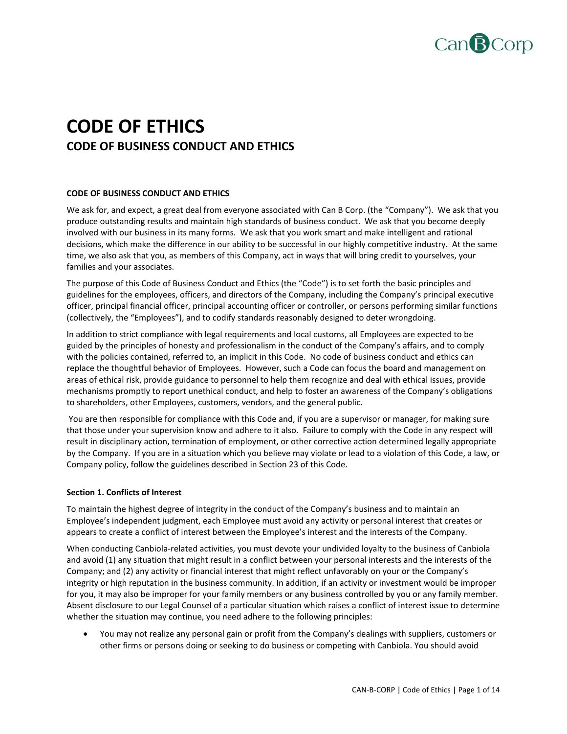

# **CODE OF ETHICS CODE OF BUSINESS CONDUCT AND ETHICS**

# **CODE OF BUSINESS CONDUCT AND ETHICS**

We ask for, and expect, a great deal from everyone associated with Can B Corp. (the "Company"). We ask that you produce outstanding results and maintain high standards of business conduct. We ask that you become deeply involved with our business in its many forms. We ask that you work smart and make intelligent and rational decisions, which make the difference in our ability to be successful in our highly competitive industry. At the same time, we also ask that you, as members of this Company, act in ways that will bring credit to yourselves, your families and your associates.

The purpose of this Code of Business Conduct and Ethics (the "Code") is to set forth the basic principles and guidelines for the employees, officers, and directors of the Company, including the Company's principal executive officer, principal financial officer, principal accounting officer or controller, or persons performing similar functions (collectively, the "Employees"), and to codify standards reasonably designed to deter wrongdoing.

In addition to strict compliance with legal requirements and local customs, all Employees are expected to be guided by the principles of honesty and professionalism in the conduct of the Company's affairs, and to comply with the policies contained, referred to, an implicit in this Code. No code of business conduct and ethics can replace the thoughtful behavior of Employees. However, such a Code can focus the board and management on areas of ethical risk, provide guidance to personnel to help them recognize and deal with ethical issues, provide mechanisms promptly to report unethical conduct, and help to foster an awareness of the Company's obligations to shareholders, other Employees, customers, vendors, and the general public.

You are then responsible for compliance with this Code and, if you are a supervisor or manager, for making sure that those under your supervision know and adhere to it also. Failure to comply with the Code in any respect will result in disciplinary action, termination of employment, or other corrective action determined legally appropriate by the Company. If you are in a situation which you believe may violate or lead to a violation of this Code, a law, or Company policy, follow the guidelines described in Section 23 of this Code.

## **Section 1. Conflicts of Interest**

To maintain the highest degree of integrity in the conduct of the Company's business and to maintain an Employee's independent judgment, each Employee must avoid any activity or personal interest that creates or appears to create a conflict of interest between the Employee's interest and the interests of the Company.

When conducting Canbiola‐related activities, you must devote your undivided loyalty to the business of Canbiola and avoid (1) any situation that might result in a conflict between your personal interests and the interests of the Company; and (2) any activity or financial interest that might reflect unfavorably on your or the Company's integrity or high reputation in the business community. In addition, if an activity or investment would be improper for you, it may also be improper for your family members or any business controlled by you or any family member. Absent disclosure to our Legal Counsel of a particular situation which raises a conflict of interest issue to determine whether the situation may continue, you need adhere to the following principles:

 You may not realize any personal gain or profit from the Company's dealings with suppliers, customers or other firms or persons doing or seeking to do business or competing with Canbiola. You should avoid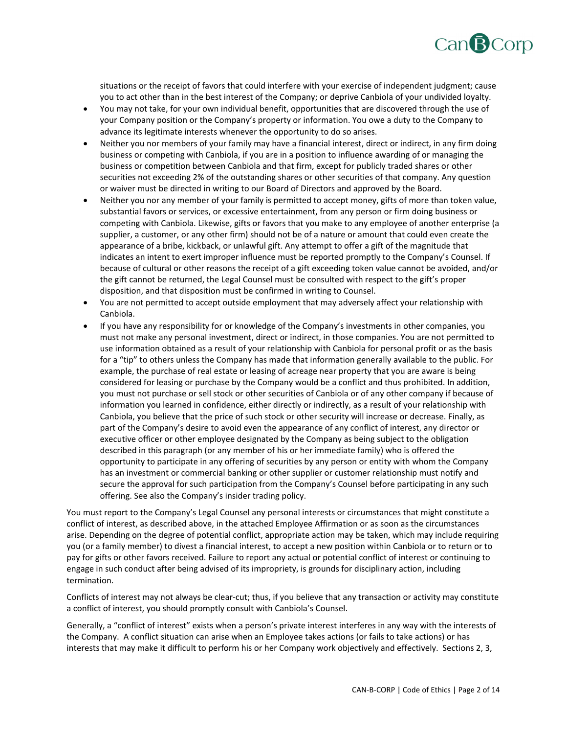

situations or the receipt of favors that could interfere with your exercise of independent judgment; cause you to act other than in the best interest of the Company; or deprive Canbiola of your undivided loyalty.

- You may not take, for your own individual benefit, opportunities that are discovered through the use of your Company position or the Company's property or information. You owe a duty to the Company to advance its legitimate interests whenever the opportunity to do so arises.
- Neither you nor members of your family may have a financial interest, direct or indirect, in any firm doing business or competing with Canbiola, if you are in a position to influence awarding of or managing the business or competition between Canbiola and that firm, except for publicly traded shares or other securities not exceeding 2% of the outstanding shares or other securities of that company. Any question or waiver must be directed in writing to our Board of Directors and approved by the Board.
- Neither you nor any member of your family is permitted to accept money, gifts of more than token value, substantial favors or services, or excessive entertainment, from any person or firm doing business or competing with Canbiola. Likewise, gifts or favors that you make to any employee of another enterprise (a supplier, a customer, or any other firm) should not be of a nature or amount that could even create the appearance of a bribe, kickback, or unlawful gift. Any attempt to offer a gift of the magnitude that indicates an intent to exert improper influence must be reported promptly to the Company's Counsel. If because of cultural or other reasons the receipt of a gift exceeding token value cannot be avoided, and/or the gift cannot be returned, the Legal Counsel must be consulted with respect to the gift's proper disposition, and that disposition must be confirmed in writing to Counsel.
- You are not permitted to accept outside employment that may adversely affect your relationship with Canbiola.
- If you have any responsibility for or knowledge of the Company's investments in other companies, you must not make any personal investment, direct or indirect, in those companies. You are not permitted to use information obtained as a result of your relationship with Canbiola for personal profit or as the basis for a "tip" to others unless the Company has made that information generally available to the public. For example, the purchase of real estate or leasing of acreage near property that you are aware is being considered for leasing or purchase by the Company would be a conflict and thus prohibited. In addition, you must not purchase or sell stock or other securities of Canbiola or of any other company if because of information you learned in confidence, either directly or indirectly, as a result of your relationship with Canbiola, you believe that the price of such stock or other security will increase or decrease. Finally, as part of the Company's desire to avoid even the appearance of any conflict of interest, any director or executive officer or other employee designated by the Company as being subject to the obligation described in this paragraph (or any member of his or her immediate family) who is offered the opportunity to participate in any offering of securities by any person or entity with whom the Company has an investment or commercial banking or other supplier or customer relationship must notify and secure the approval for such participation from the Company's Counsel before participating in any such offering. See also the Company's insider trading policy.

You must report to the Company's Legal Counsel any personal interests or circumstances that might constitute a conflict of interest, as described above, in the attached Employee Affirmation or as soon as the circumstances arise. Depending on the degree of potential conflict, appropriate action may be taken, which may include requiring you (or a family member) to divest a financial interest, to accept a new position within Canbiola or to return or to pay for gifts or other favors received. Failure to report any actual or potential conflict of interest or continuing to engage in such conduct after being advised of its impropriety, is grounds for disciplinary action, including termination.

Conflicts of interest may not always be clear‐cut; thus, if you believe that any transaction or activity may constitute a conflict of interest, you should promptly consult with Canbiola's Counsel.

Generally, a "conflict of interest" exists when a person's private interest interferes in any way with the interests of the Company. A conflict situation can arise when an Employee takes actions (or fails to take actions) or has interests that may make it difficult to perform his or her Company work objectively and effectively. Sections 2, 3,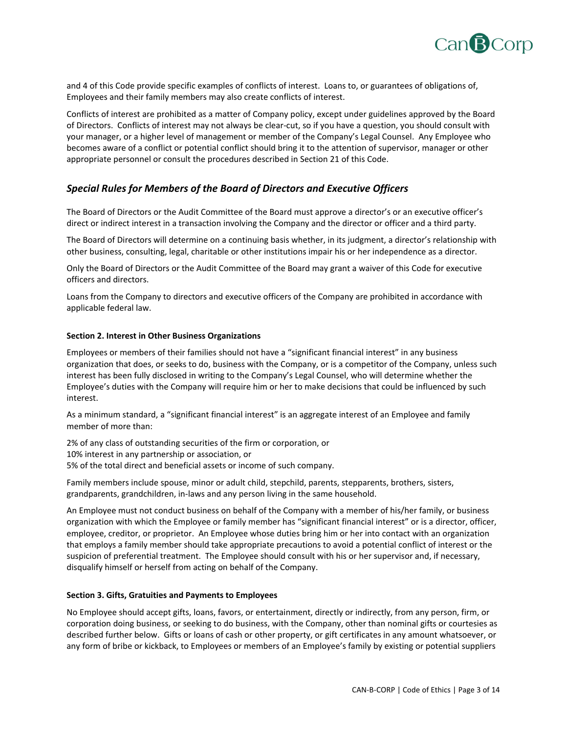

and 4 of this Code provide specific examples of conflicts of interest. Loans to, or guarantees of obligations of, Employees and their family members may also create conflicts of interest.

Conflicts of interest are prohibited as a matter of Company policy, except under guidelines approved by the Board of Directors. Conflicts of interest may not always be clear‐cut, so if you have a question, you should consult with your manager, or a higher level of management or member of the Company's Legal Counsel. Any Employee who becomes aware of a conflict or potential conflict should bring it to the attention of supervisor, manager or other appropriate personnel or consult the procedures described in Section 21 of this Code.

# *Special Rules for Members of the Board of Directors and Executive Officers*

The Board of Directors or the Audit Committee of the Board must approve a director's or an executive officer's direct or indirect interest in a transaction involving the Company and the director or officer and a third party.

The Board of Directors will determine on a continuing basis whether, in its judgment, a director's relationship with other business, consulting, legal, charitable or other institutions impair his or her independence as a director.

Only the Board of Directors or the Audit Committee of the Board may grant a waiver of this Code for executive officers and directors.

Loans from the Company to directors and executive officers of the Company are prohibited in accordance with applicable federal law.

#### **Section 2. Interest in Other Business Organizations**

Employees or members of their families should not have a "significant financial interest" in any business organization that does, or seeks to do, business with the Company, or is a competitor of the Company, unless such interest has been fully disclosed in writing to the Company's Legal Counsel, who will determine whether the Employee's duties with the Company will require him or her to make decisions that could be influenced by such interest.

As a minimum standard, a "significant financial interest" is an aggregate interest of an Employee and family member of more than:

2% of any class of outstanding securities of the firm or corporation, or 10% interest in any partnership or association, or 5% of the total direct and beneficial assets or income of such company.

Family members include spouse, minor or adult child, stepchild, parents, stepparents, brothers, sisters, grandparents, grandchildren, in‐laws and any person living in the same household.

An Employee must not conduct business on behalf of the Company with a member of his/her family, or business organization with which the Employee or family member has "significant financial interest" or is a director, officer, employee, creditor, or proprietor. An Employee whose duties bring him or her into contact with an organization that employs a family member should take appropriate precautions to avoid a potential conflict of interest or the suspicion of preferential treatment. The Employee should consult with his or her supervisor and, if necessary, disqualify himself or herself from acting on behalf of the Company.

#### **Section 3. Gifts, Gratuities and Payments to Employees**

No Employee should accept gifts, loans, favors, or entertainment, directly or indirectly, from any person, firm, or corporation doing business, or seeking to do business, with the Company, other than nominal gifts or courtesies as described further below. Gifts or loans of cash or other property, or gift certificates in any amount whatsoever, or any form of bribe or kickback, to Employees or members of an Employee's family by existing or potential suppliers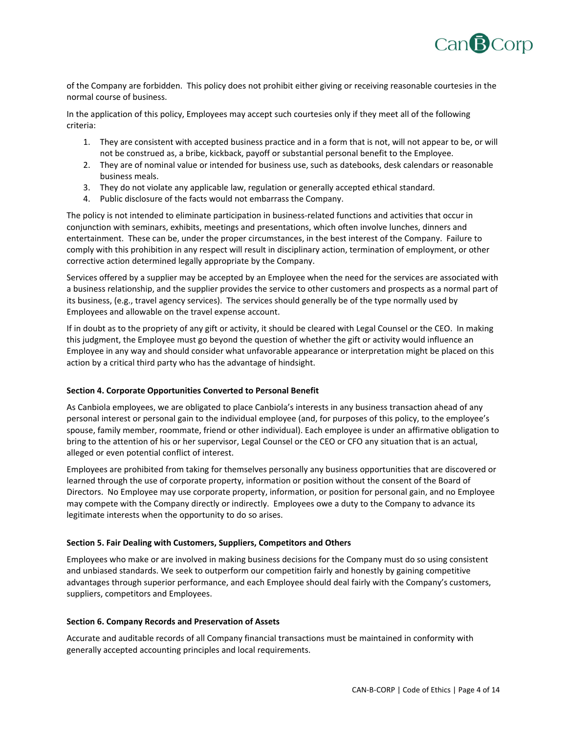

of the Company are forbidden. This policy does not prohibit either giving or receiving reasonable courtesies in the normal course of business.

In the application of this policy, Employees may accept such courtesies only if they meet all of the following criteria:

- 1. They are consistent with accepted business practice and in a form that is not, will not appear to be, or will not be construed as, a bribe, kickback, payoff or substantial personal benefit to the Employee.
- 2. They are of nominal value or intended for business use, such as datebooks, desk calendars or reasonable business meals.
- 3. They do not violate any applicable law, regulation or generally accepted ethical standard.
- 4. Public disclosure of the facts would not embarrass the Company.

The policy is not intended to eliminate participation in business-related functions and activities that occur in conjunction with seminars, exhibits, meetings and presentations, which often involve lunches, dinners and entertainment. These can be, under the proper circumstances, in the best interest of the Company. Failure to comply with this prohibition in any respect will result in disciplinary action, termination of employment, or other corrective action determined legally appropriate by the Company.

Services offered by a supplier may be accepted by an Employee when the need for the services are associated with a business relationship, and the supplier provides the service to other customers and prospects as a normal part of its business, (e.g., travel agency services). The services should generally be of the type normally used by Employees and allowable on the travel expense account.

If in doubt as to the propriety of any gift or activity, it should be cleared with Legal Counsel or the CEO. In making this judgment, the Employee must go beyond the question of whether the gift or activity would influence an Employee in any way and should consider what unfavorable appearance or interpretation might be placed on this action by a critical third party who has the advantage of hindsight.

# **Section 4. Corporate Opportunities Converted to Personal Benefit**

As Canbiola employees, we are obligated to place Canbiola's interests in any business transaction ahead of any personal interest or personal gain to the individual employee (and, for purposes of this policy, to the employee's spouse, family member, roommate, friend or other individual). Each employee is under an affirmative obligation to bring to the attention of his or her supervisor, Legal Counsel or the CEO or CFO any situation that is an actual, alleged or even potential conflict of interest.

Employees are prohibited from taking for themselves personally any business opportunities that are discovered or learned through the use of corporate property, information or position without the consent of the Board of Directors. No Employee may use corporate property, information, or position for personal gain, and no Employee may compete with the Company directly or indirectly. Employees owe a duty to the Company to advance its legitimate interests when the opportunity to do so arises.

## **Section 5. Fair Dealing with Customers, Suppliers, Competitors and Others**

Employees who make or are involved in making business decisions for the Company must do so using consistent and unbiased standards. We seek to outperform our competition fairly and honestly by gaining competitive advantages through superior performance, and each Employee should deal fairly with the Company's customers, suppliers, competitors and Employees.

## **Section 6. Company Records and Preservation of Assets**

Accurate and auditable records of all Company financial transactions must be maintained in conformity with generally accepted accounting principles and local requirements.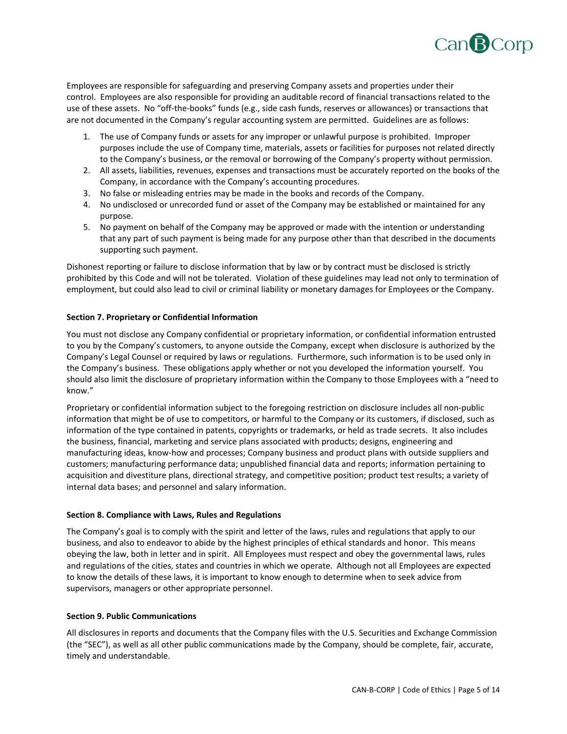

Employees are responsible for safeguarding and preserving Company assets and properties under their control. Employees are also responsible for providing an auditable record of financial transactions related to the use of these assets. No "off-the-books" funds (e.g., side cash funds, reserves or allowances) or transactions that are not documented in the Company's regular accounting system are permitted. Guidelines are as follows:

- 1. The use of Company funds or assets for any improper or unlawful purpose is prohibited. Improper purposes include the use of Company time, materials, assets or facilities for purposes not related directly to the Company's business, or the removal or borrowing of the Company's property without permission.
- 2. All assets, liabilities, revenues, expenses and transactions must be accurately reported on the books of the Company, in accordance with the Company's accounting procedures.
- 3. No false or misleading entries may be made in the books and records of the Company.
- 4. No undisclosed or unrecorded fund or asset of the Company may be established or maintained for any purpose.
- 5. No payment on behalf of the Company may be approved or made with the intention or understanding that any part of such payment is being made for any purpose other than that described in the documents supporting such payment.

Dishonest reporting or failure to disclose information that by law or by contract must be disclosed is strictly prohibited by this Code and will not be tolerated. Violation of these guidelines may lead not only to termination of employment, but could also lead to civil or criminal liability or monetary damages for Employees or the Company.

# **Section 7. Proprietary or Confidential Information**

You must not disclose any Company confidential or proprietary information, or confidential information entrusted to you by the Company's customers, to anyone outside the Company, except when disclosure is authorized by the Company's Legal Counsel or required by laws or regulations. Furthermore, such information is to be used only in the Company's business. These obligations apply whether or not you developed the information yourself. You should also limit the disclosure of proprietary information within the Company to those Employees with a "need to know."

Proprietary or confidential information subject to the foregoing restriction on disclosure includes all non‐public information that might be of use to competitors, or harmful to the Company or its customers, if disclosed, such as information of the type contained in patents, copyrights or trademarks, or held as trade secrets. It also includes the business, financial, marketing and service plans associated with products; designs, engineering and manufacturing ideas, know‐how and processes; Company business and product plans with outside suppliers and customers; manufacturing performance data; unpublished financial data and reports; information pertaining to acquisition and divestiture plans, directional strategy, and competitive position; product test results; a variety of internal data bases; and personnel and salary information.

## **Section 8. Compliance with Laws, Rules and Regulations**

The Company's goal is to comply with the spirit and letter of the laws, rules and regulations that apply to our business, and also to endeavor to abide by the highest principles of ethical standards and honor. This means obeying the law, both in letter and in spirit. All Employees must respect and obey the governmental laws, rules and regulations of the cities, states and countries in which we operate. Although not all Employees are expected to know the details of these laws, it is important to know enough to determine when to seek advice from supervisors, managers or other appropriate personnel.

# **Section 9. Public Communications**

All disclosures in reports and documents that the Company files with the U.S. Securities and Exchange Commission (the "SEC"), as well as all other public communications made by the Company, should be complete, fair, accurate, timely and understandable.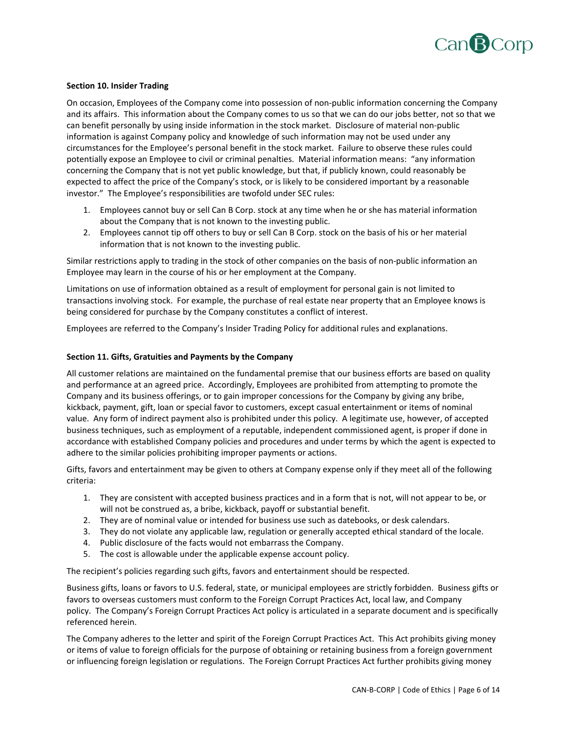

## **Section 10. Insider Trading**

On occasion, Employees of the Company come into possession of non‐public information concerning the Company and its affairs. This information about the Company comes to us so that we can do our jobs better, not so that we can benefit personally by using inside information in the stock market. Disclosure of material non-public information is against Company policy and knowledge of such information may not be used under any circumstances for the Employee's personal benefit in the stock market. Failure to observe these rules could potentially expose an Employee to civil or criminal penalties. Material information means: "any information concerning the Company that is not yet public knowledge, but that, if publicly known, could reasonably be expected to affect the price of the Company's stock, or is likely to be considered important by a reasonable investor." The Employee's responsibilities are twofold under SEC rules:

- 1. Employees cannot buy or sell Can B Corp. stock at any time when he or she has material information about the Company that is not known to the investing public.
- 2. Employees cannot tip off others to buy or sell Can B Corp. stock on the basis of his or her material information that is not known to the investing public.

Similar restrictions apply to trading in the stock of other companies on the basis of non‐public information an Employee may learn in the course of his or her employment at the Company.

Limitations on use of information obtained as a result of employment for personal gain is not limited to transactions involving stock. For example, the purchase of real estate near property that an Employee knows is being considered for purchase by the Company constitutes a conflict of interest.

Employees are referred to the Company's Insider Trading Policy for additional rules and explanations.

#### **Section 11. Gifts, Gratuities and Payments by the Company**

All customer relations are maintained on the fundamental premise that our business efforts are based on quality and performance at an agreed price. Accordingly, Employees are prohibited from attempting to promote the Company and its business offerings, or to gain improper concessions for the Company by giving any bribe, kickback, payment, gift, loan or special favor to customers, except casual entertainment or items of nominal value. Any form of indirect payment also is prohibited under this policy. A legitimate use, however, of accepted business techniques, such as employment of a reputable, independent commissioned agent, is proper if done in accordance with established Company policies and procedures and under terms by which the agent is expected to adhere to the similar policies prohibiting improper payments or actions.

Gifts, favors and entertainment may be given to others at Company expense only if they meet all of the following criteria:

- 1. They are consistent with accepted business practices and in a form that is not, will not appear to be, or will not be construed as, a bribe, kickback, payoff or substantial benefit.
- 2. They are of nominal value or intended for business use such as datebooks, or desk calendars.
- 3. They do not violate any applicable law, regulation or generally accepted ethical standard of the locale.
- 4. Public disclosure of the facts would not embarrass the Company.
- 5. The cost is allowable under the applicable expense account policy.

The recipient's policies regarding such gifts, favors and entertainment should be respected.

Business gifts, loans or favors to U.S. federal, state, or municipal employees are strictly forbidden. Business gifts or favors to overseas customers must conform to the Foreign Corrupt Practices Act, local law, and Company policy. The Company's Foreign Corrupt Practices Act policy is articulated in a separate document and is specifically referenced herein.

The Company adheres to the letter and spirit of the Foreign Corrupt Practices Act. This Act prohibits giving money or items of value to foreign officials for the purpose of obtaining or retaining business from a foreign government or influencing foreign legislation or regulations. The Foreign Corrupt Practices Act further prohibits giving money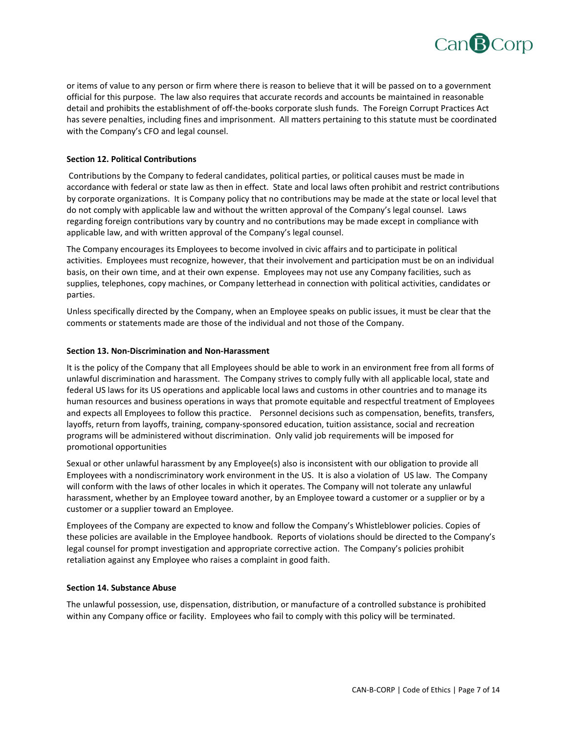

or items of value to any person or firm where there is reason to believe that it will be passed on to a government official for this purpose. The law also requires that accurate records and accounts be maintained in reasonable detail and prohibits the establishment of off-the-books corporate slush funds. The Foreign Corrupt Practices Act has severe penalties, including fines and imprisonment. All matters pertaining to this statute must be coordinated with the Company's CFO and legal counsel.

# **Section 12. Political Contributions**

Contributions by the Company to federal candidates, political parties, or political causes must be made in accordance with federal or state law as then in effect. State and local laws often prohibit and restrict contributions by corporate organizations. It is Company policy that no contributions may be made at the state or local level that do not comply with applicable law and without the written approval of the Company's legal counsel. Laws regarding foreign contributions vary by country and no contributions may be made except in compliance with applicable law, and with written approval of the Company's legal counsel.

The Company encourages its Employees to become involved in civic affairs and to participate in political activities. Employees must recognize, however, that their involvement and participation must be on an individual basis, on their own time, and at their own expense. Employees may not use any Company facilities, such as supplies, telephones, copy machines, or Company letterhead in connection with political activities, candidates or parties.

Unless specifically directed by the Company, when an Employee speaks on public issues, it must be clear that the comments or statements made are those of the individual and not those of the Company.

#### **Section 13. Non‐Discrimination and Non‐Harassment**

It is the policy of the Company that all Employees should be able to work in an environment free from all forms of unlawful discrimination and harassment. The Company strives to comply fully with all applicable local, state and federal US laws for its US operations and applicable local laws and customs in other countries and to manage its human resources and business operations in ways that promote equitable and respectful treatment of Employees and expects all Employees to follow this practice. Personnel decisions such as compensation, benefits, transfers, layoffs, return from layoffs, training, company‐sponsored education, tuition assistance, social and recreation programs will be administered without discrimination. Only valid job requirements will be imposed for promotional opportunities

Sexual or other unlawful harassment by any Employee(s) also is inconsistent with our obligation to provide all Employees with a nondiscriminatory work environment in the US. It is also a violation of US law. The Company will conform with the laws of other locales in which it operates. The Company will not tolerate any unlawful harassment, whether by an Employee toward another, by an Employee toward a customer or a supplier or by a customer or a supplier toward an Employee.

Employees of the Company are expected to know and follow the Company's Whistleblower policies. Copies of these policies are available in the Employee handbook. Reports of violations should be directed to the Company's legal counsel for prompt investigation and appropriate corrective action. The Company's policies prohibit retaliation against any Employee who raises a complaint in good faith.

## **Section 14. Substance Abuse**

The unlawful possession, use, dispensation, distribution, or manufacture of a controlled substance is prohibited within any Company office or facility. Employees who fail to comply with this policy will be terminated.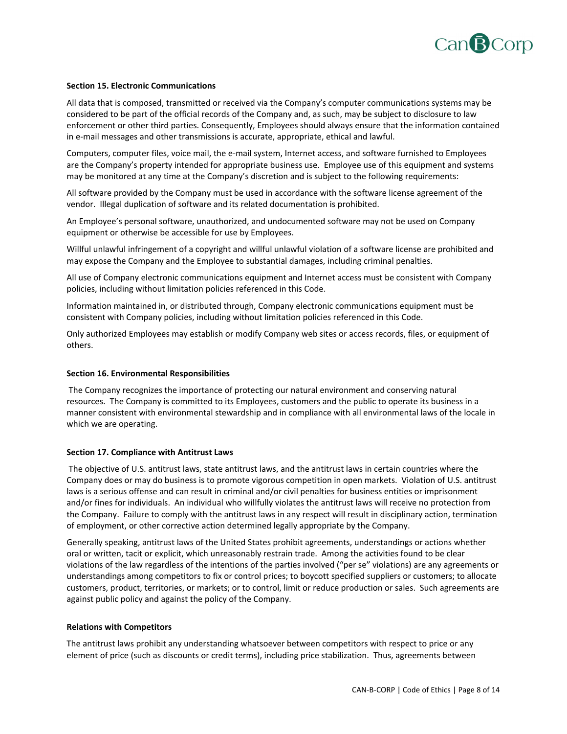

## **Section 15. Electronic Communications**

All data that is composed, transmitted or received via the Company's computer communications systems may be considered to be part of the official records of the Company and, as such, may be subject to disclosure to law enforcement or other third parties. Consequently, Employees should always ensure that the information contained in e-mail messages and other transmissions is accurate, appropriate, ethical and lawful.

Computers, computer files, voice mail, the e‐mail system, Internet access, and software furnished to Employees are the Company's property intended for appropriate business use. Employee use of this equipment and systems may be monitored at any time at the Company's discretion and is subject to the following requirements:

All software provided by the Company must be used in accordance with the software license agreement of the vendor. Illegal duplication of software and its related documentation is prohibited.

An Employee's personal software, unauthorized, and undocumented software may not be used on Company equipment or otherwise be accessible for use by Employees.

Willful unlawful infringement of a copyright and willful unlawful violation of a software license are prohibited and may expose the Company and the Employee to substantial damages, including criminal penalties.

All use of Company electronic communications equipment and Internet access must be consistent with Company policies, including without limitation policies referenced in this Code.

Information maintained in, or distributed through, Company electronic communications equipment must be consistent with Company policies, including without limitation policies referenced in this Code.

Only authorized Employees may establish or modify Company web sites or access records, files, or equipment of others.

## **Section 16. Environmental Responsibilities**

The Company recognizes the importance of protecting our natural environment and conserving natural resources. The Company is committed to its Employees, customers and the public to operate its business in a manner consistent with environmental stewardship and in compliance with all environmental laws of the locale in which we are operating.

#### **Section 17. Compliance with Antitrust Laws**

The objective of U.S. antitrust laws, state antitrust laws, and the antitrust laws in certain countries where the Company does or may do business is to promote vigorous competition in open markets. Violation of U.S. antitrust laws is a serious offense and can result in criminal and/or civil penalties for business entities or imprisonment and/or fines for individuals. An individual who willfully violates the antitrust laws will receive no protection from the Company. Failure to comply with the antitrust laws in any respect will result in disciplinary action, termination of employment, or other corrective action determined legally appropriate by the Company.

Generally speaking, antitrust laws of the United States prohibit agreements, understandings or actions whether oral or written, tacit or explicit, which unreasonably restrain trade. Among the activities found to be clear violations of the law regardless of the intentions of the parties involved ("per se" violations) are any agreements or understandings among competitors to fix or control prices; to boycott specified suppliers or customers; to allocate customers, product, territories, or markets; or to control, limit or reduce production or sales. Such agreements are against public policy and against the policy of the Company.

#### **Relations with Competitors**

The antitrust laws prohibit any understanding whatsoever between competitors with respect to price or any element of price (such as discounts or credit terms), including price stabilization. Thus, agreements between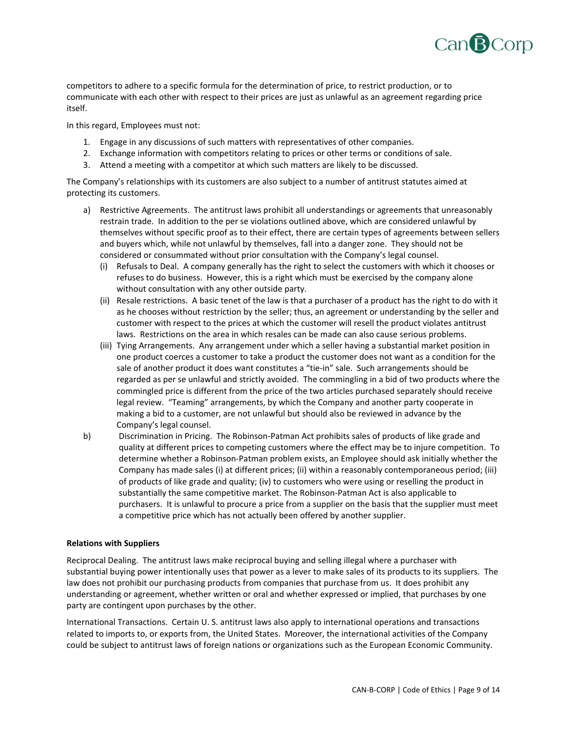

competitors to adhere to a specific formula for the determination of price, to restrict production, or to communicate with each other with respect to their prices are just as unlawful as an agreement regarding price itself.

In this regard, Employees must not:

- 1. Engage in any discussions of such matters with representatives of other companies.
- 2. Exchange information with competitors relating to prices or other terms or conditions of sale.
- 3. Attend a meeting with a competitor at which such matters are likely to be discussed.

The Company's relationships with its customers are also subject to a number of antitrust statutes aimed at protecting its customers.

- a) Restrictive Agreements. The antitrust laws prohibit all understandings or agreements that unreasonably restrain trade. In addition to the per se violations outlined above, which are considered unlawful by themselves without specific proof as to their effect, there are certain types of agreements between sellers and buyers which, while not unlawful by themselves, fall into a danger zone. They should not be considered or consummated without prior consultation with the Company's legal counsel.
	- (i) Refusals to Deal. A company generally has the right to select the customers with which it chooses or refuses to do business. However, this is a right which must be exercised by the company alone without consultation with any other outside party.
	- (ii) Resale restrictions. A basic tenet of the law is that a purchaser of a product has the right to do with it as he chooses without restriction by the seller; thus, an agreement or understanding by the seller and customer with respect to the prices at which the customer will resell the product violates antitrust laws. Restrictions on the area in which resales can be made can also cause serious problems.
	- (iii) Tying Arrangements. Any arrangement under which a seller having a substantial market position in one product coerces a customer to take a product the customer does not want as a condition for the sale of another product it does want constitutes a "tie-in" sale. Such arrangements should be regarded as per se unlawful and strictly avoided. The commingling in a bid of two products where the commingled price is different from the price of the two articles purchased separately should receive legal review. "Teaming" arrangements, by which the Company and another party cooperate in making a bid to a customer, are not unlawful but should also be reviewed in advance by the Company's legal counsel.
- b) Discrimination in Pricing. The Robinson‐Patman Act prohibits sales of products of like grade and quality at different prices to competing customers where the effect may be to injure competition. To determine whether a Robinson‐Patman problem exists, an Employee should ask initially whether the Company has made sales (i) at different prices; (ii) within a reasonably contemporaneous period; (iii) of products of like grade and quality; (iv) to customers who were using or reselling the product in substantially the same competitive market. The Robinson‐Patman Act is also applicable to purchasers. It is unlawful to procure a price from a supplier on the basis that the supplier must meet a competitive price which has not actually been offered by another supplier.

## **Relations with Suppliers**

Reciprocal Dealing. The antitrust laws make reciprocal buying and selling illegal where a purchaser with substantial buying power intentionally uses that power as a lever to make sales of its products to its suppliers. The law does not prohibit our purchasing products from companies that purchase from us. It does prohibit any understanding or agreement, whether written or oral and whether expressed or implied, that purchases by one party are contingent upon purchases by the other.

International Transactions. Certain U. S. antitrust laws also apply to international operations and transactions related to imports to, or exports from, the United States. Moreover, the international activities of the Company could be subject to antitrust laws of foreign nations or organizations such as the European Economic Community.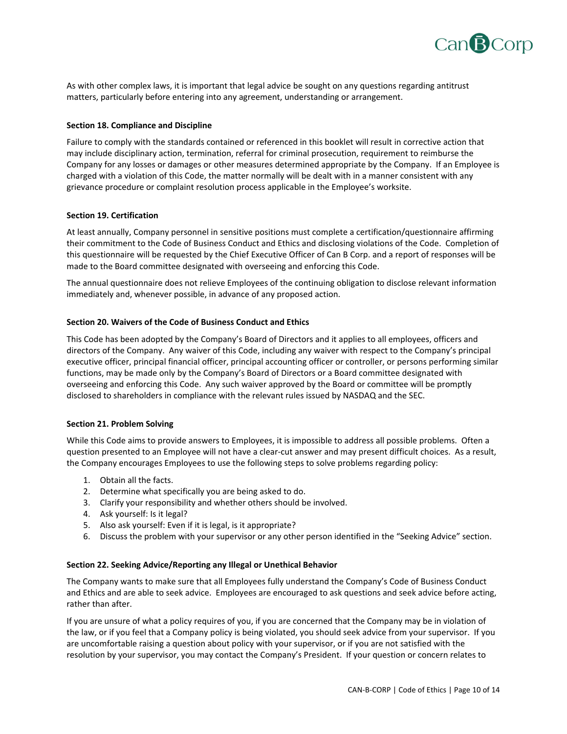

As with other complex laws, it is important that legal advice be sought on any questions regarding antitrust matters, particularly before entering into any agreement, understanding or arrangement.

## **Section 18. Compliance and Discipline**

Failure to comply with the standards contained or referenced in this booklet will result in corrective action that may include disciplinary action, termination, referral for criminal prosecution, requirement to reimburse the Company for any losses or damages or other measures determined appropriate by the Company. If an Employee is charged with a violation of this Code, the matter normally will be dealt with in a manner consistent with any grievance procedure or complaint resolution process applicable in the Employee's worksite.

## **Section 19. Certification**

At least annually, Company personnel in sensitive positions must complete a certification/questionnaire affirming their commitment to the Code of Business Conduct and Ethics and disclosing violations of the Code. Completion of this questionnaire will be requested by the Chief Executive Officer of Can B Corp. and a report of responses will be made to the Board committee designated with overseeing and enforcing this Code.

The annual questionnaire does not relieve Employees of the continuing obligation to disclose relevant information immediately and, whenever possible, in advance of any proposed action.

# **Section 20. Waivers of the Code of Business Conduct and Ethics**

This Code has been adopted by the Company's Board of Directors and it applies to all employees, officers and directors of the Company. Any waiver of this Code, including any waiver with respect to the Company's principal executive officer, principal financial officer, principal accounting officer or controller, or persons performing similar functions, may be made only by the Company's Board of Directors or a Board committee designated with overseeing and enforcing this Code. Any such waiver approved by the Board or committee will be promptly disclosed to shareholders in compliance with the relevant rules issued by NASDAQ and the SEC.

## **Section 21. Problem Solving**

While this Code aims to provide answers to Employees, it is impossible to address all possible problems. Often a question presented to an Employee will not have a clear-cut answer and may present difficult choices. As a result, the Company encourages Employees to use the following steps to solve problems regarding policy:

- 1. Obtain all the facts.
- 2. Determine what specifically you are being asked to do.
- 3. Clarify your responsibility and whether others should be involved.
- 4. Ask yourself: Is it legal?
- 5. Also ask yourself: Even if it is legal, is it appropriate?
- 6. Discuss the problem with your supervisor or any other person identified in the "Seeking Advice" section.

## **Section 22. Seeking Advice/Reporting any Illegal or Unethical Behavior**

The Company wants to make sure that all Employees fully understand the Company's Code of Business Conduct and Ethics and are able to seek advice. Employees are encouraged to ask questions and seek advice before acting, rather than after.

If you are unsure of what a policy requires of you, if you are concerned that the Company may be in violation of the law, or if you feel that a Company policy is being violated, you should seek advice from your supervisor. If you are uncomfortable raising a question about policy with your supervisor, or if you are not satisfied with the resolution by your supervisor, you may contact the Company's President. If your question or concern relates to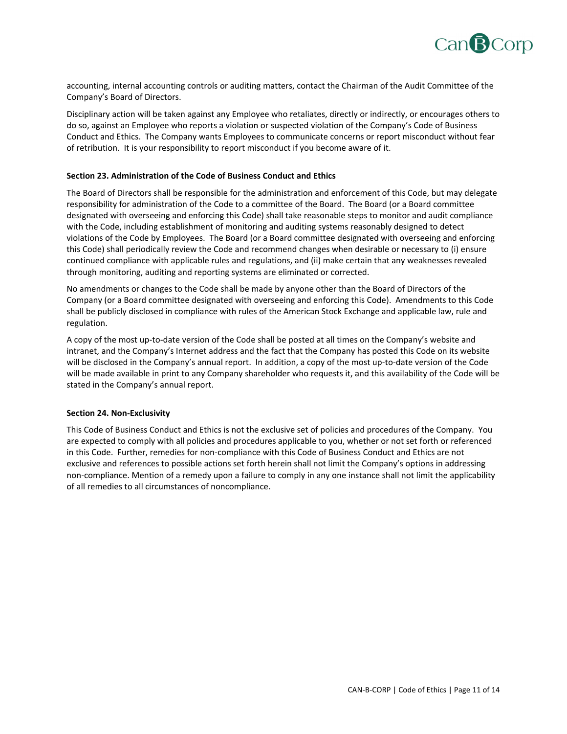

accounting, internal accounting controls or auditing matters, contact the Chairman of the Audit Committee of the Company's Board of Directors.

Disciplinary action will be taken against any Employee who retaliates, directly or indirectly, or encourages others to do so, against an Employee who reports a violation or suspected violation of the Company's Code of Business Conduct and Ethics. The Company wants Employees to communicate concerns or report misconduct without fear of retribution. It is your responsibility to report misconduct if you become aware of it.

## **Section 23. Administration of the Code of Business Conduct and Ethics**

The Board of Directors shall be responsible for the administration and enforcement of this Code, but may delegate responsibility for administration of the Code to a committee of the Board. The Board (or a Board committee designated with overseeing and enforcing this Code) shall take reasonable steps to monitor and audit compliance with the Code, including establishment of monitoring and auditing systems reasonably designed to detect violations of the Code by Employees. The Board (or a Board committee designated with overseeing and enforcing this Code) shall periodically review the Code and recommend changes when desirable or necessary to (i) ensure continued compliance with applicable rules and regulations, and (ii) make certain that any weaknesses revealed through monitoring, auditing and reporting systems are eliminated or corrected.

No amendments or changes to the Code shall be made by anyone other than the Board of Directors of the Company (or a Board committee designated with overseeing and enforcing this Code). Amendments to this Code shall be publicly disclosed in compliance with rules of the American Stock Exchange and applicable law, rule and regulation.

A copy of the most up‐to‐date version of the Code shall be posted at all times on the Company's website and intranet, and the Company's Internet address and the fact that the Company has posted this Code on its website will be disclosed in the Company's annual report. In addition, a copy of the most up-to-date version of the Code will be made available in print to any Company shareholder who requests it, and this availability of the Code will be stated in the Company's annual report.

## **Section 24. Non‐Exclusivity**

This Code of Business Conduct and Ethics is not the exclusive set of policies and procedures of the Company. You are expected to comply with all policies and procedures applicable to you, whether or not set forth or referenced in this Code. Further, remedies for non‐compliance with this Code of Business Conduct and Ethics are not exclusive and references to possible actions set forth herein shall not limit the Company's options in addressing non‐compliance. Mention of a remedy upon a failure to comply in any one instance shall not limit the applicability of all remedies to all circumstances of noncompliance.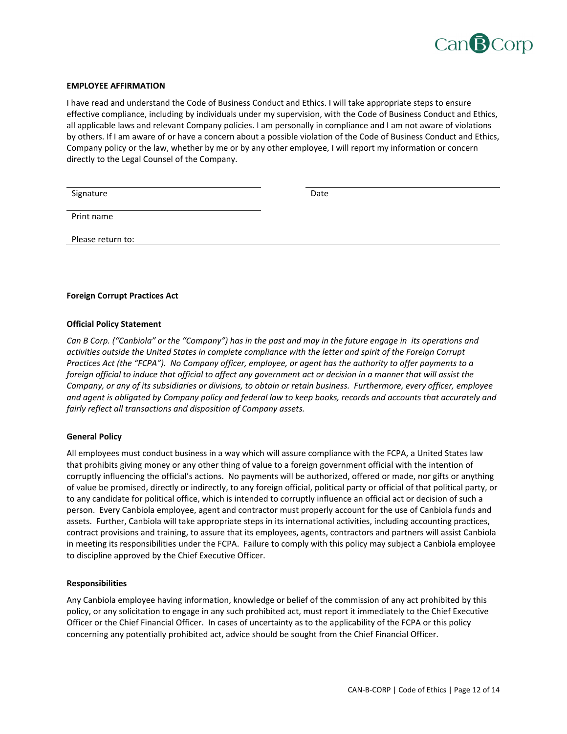

#### **EMPLOYEE AFFIRMATION**

I have read and understand the Code of Business Conduct and Ethics. I will take appropriate steps to ensure effective compliance, including by individuals under my supervision, with the Code of Business Conduct and Ethics, all applicable laws and relevant Company policies. I am personally in compliance and I am not aware of violations by others. If I am aware of or have a concern about a possible violation of the Code of Business Conduct and Ethics, Company policy or the law, whether by me or by any other employee, I will report my information or concern directly to the Legal Counsel of the Company.

| Signature         | Date |
|-------------------|------|
| Print name        |      |
| Please return to: |      |

## **Foreign Corrupt Practices Act**

#### **Official Policy Statement**

Can B Corp. ("Canbiola" or the "Company") has in the past and may in the future engage in its operations and activities outside the United States in complete compliance with the letter and spirit of the Foreign Corrupt Practices Act (the "FCPA"). No Company officer, employee, or agent has the authority to offer payments to a foreign official to induce that official to affect any government act or decision in a manner that will assist the Company, or any of its subsidiaries or divisions, to obtain or retain business. Furthermore, every officer, employee and agent is obligated by Company policy and federal law to keep books, records and accounts that accurately and *fairly reflect all transactions and disposition of Company assets.*

#### **General Policy**

All employees must conduct business in a way which will assure compliance with the FCPA, a United States law that prohibits giving money or any other thing of value to a foreign government official with the intention of corruptly influencing the official's actions. No payments will be authorized, offered or made, nor gifts or anything of value be promised, directly or indirectly, to any foreign official, political party or official of that political party, or to any candidate for political office, which is intended to corruptly influence an official act or decision of such a person. Every Canbiola employee, agent and contractor must properly account for the use of Canbiola funds and assets. Further, Canbiola will take appropriate steps in its international activities, including accounting practices, contract provisions and training, to assure that its employees, agents, contractors and partners will assist Canbiola in meeting its responsibilities under the FCPA. Failure to comply with this policy may subject a Canbiola employee to discipline approved by the Chief Executive Officer.

#### **Responsibilities**

Any Canbiola employee having information, knowledge or belief of the commission of any act prohibited by this policy, or any solicitation to engage in any such prohibited act, must report it immediately to the Chief Executive Officer or the Chief Financial Officer. In cases of uncertainty as to the applicability of the FCPA or this policy concerning any potentially prohibited act, advice should be sought from the Chief Financial Officer.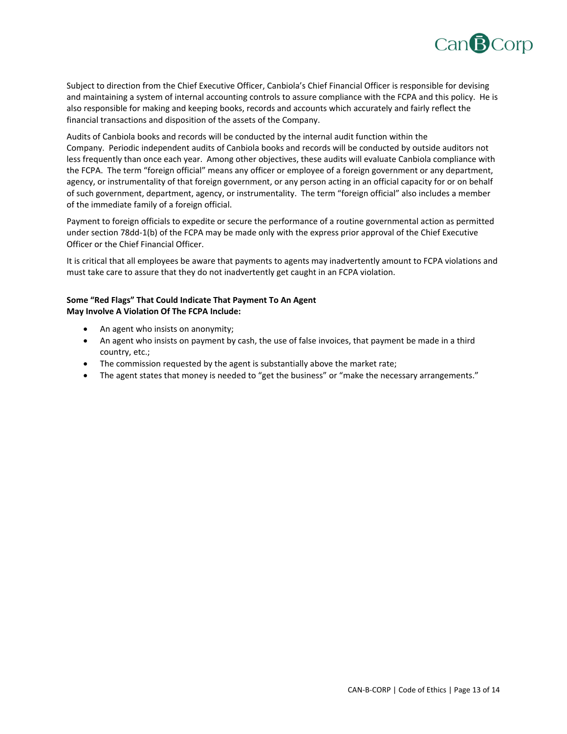

Subject to direction from the Chief Executive Officer, Canbiola's Chief Financial Officer is responsible for devising and maintaining a system of internal accounting controls to assure compliance with the FCPA and this policy. He is also responsible for making and keeping books, records and accounts which accurately and fairly reflect the financial transactions and disposition of the assets of the Company.

Audits of Canbiola books and records will be conducted by the internal audit function within the Company. Periodic independent audits of Canbiola books and records will be conducted by outside auditors not less frequently than once each year. Among other objectives, these audits will evaluate Canbiola compliance with the FCPA. The term "foreign official" means any officer or employee of a foreign government or any department, agency, or instrumentality of that foreign government, or any person acting in an official capacity for or on behalf of such government, department, agency, or instrumentality. The term "foreign official" also includes a member of the immediate family of a foreign official.

Payment to foreign officials to expedite or secure the performance of a routine governmental action as permitted under section 78dd‐1(b) of the FCPA may be made only with the express prior approval of the Chief Executive Officer or the Chief Financial Officer.

It is critical that all employees be aware that payments to agents may inadvertently amount to FCPA violations and must take care to assure that they do not inadvertently get caught in an FCPA violation.

# **Some "Red Flags" That Could Indicate That Payment To An Agent May Involve A Violation Of The FCPA Include:**

- An agent who insists on anonymity;
- An agent who insists on payment by cash, the use of false invoices, that payment be made in a third country, etc.;
- The commission requested by the agent is substantially above the market rate;
- The agent states that money is needed to "get the business" or "make the necessary arrangements."